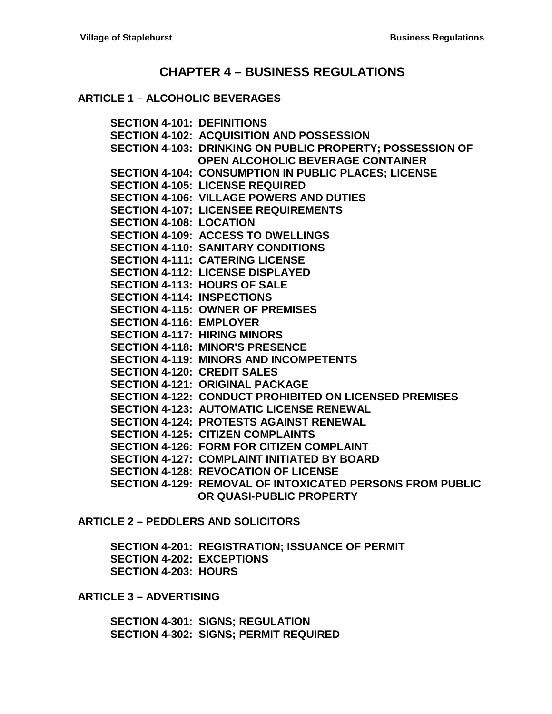# **CHAPTER 4 – [BUSINESS REGULATIONS](#page-2-0)**

#### **ARTICLE 1 – [ALCOHOLIC BEVERAGES](#page-2-1)**

**SECTION [4-101: DEFINITIONS](#page-2-2) [SECTION 4-102: ACQUISITION AND POSSESSION](#page-2-3) [SECTION 4-103: DRINKING ON PUBLIC PROPERTY; POSSESSION OF](#page-3-0)  [OPEN ALCOHOLIC BEVERAGE CONTAINER](#page-3-0) [SECTION 4-104: CONSUMPTION IN](#page-4-0) PUBLIC PLACES; LICENSE [SECTION 4-105: LICENSE REQUIRED](#page-4-1) [SECTION 4-106: VILLAGE POWERS](#page-4-2) AND DUTIES [SECTION 4-107: LICENSEE REQUIREMENTS](#page-6-0) [SECTION 4-108: LOCATION](#page-6-1) [SECTION 4-109: ACCESS TO DWELLINGS](#page-7-0) [SECTION 4-110: SANITARY CONDITIONS](#page-7-1) [SECTION 4-111: CATERING LICENSE](#page-7-2) [SECTION 4-112: LICENSE DISPLAYED](#page-7-3) [SECTION 4-113: HOURS OF SALE](#page-7-4) [SECTION 4-114: INSPECTIONS](#page-8-0) [SECTION 4-115: OWNER OF PREMISES](#page-9-0) [SECTION 4-116: EMPLOYER](#page-9-1) [SECTION 4-117: HIRING MINORS](#page-9-2) [SECTION 4-118: MINOR'S PRESENCE](#page-9-3) [SECTION 4-119: MINORS AND INCOMPETENTS](#page-9-4) [SECTION 4-120: CREDIT SALES](#page-9-5) [SECTION 4-121: ORIGINAL PACKAGE](#page-10-0) [SECTION 4-122: CONDUCT PROHIBITED ON LICENSED PREMISES](#page-10-1) [SECTION 4-123: AUTOMATIC LICENSE RENEWAL](#page-10-2) [SECTION 4-124: PROTESTS AGAINST RENEWAL](#page-10-3) [SECTION 4-125: CITIZEN COMPLAINTS](#page-11-0) [SECTION 4-126: FORM FOR CITIZEN COMPLAINT](#page-11-1) [SECTION 4-127: COMPLAINT INITIATED BY BOARD](#page-12-0) [SECTION 4-128: REVOCATION OF LICENSE](#page-12-1) [SECTION 4-129: REMOVAL OF INTOXICATED PERSONS FROM PUBLIC](#page-12-2)  [OR QUASI-PUBLIC PROPERTY](#page-12-2)**

# **ARTICLE 2 – [PEDDLERS AND SOLICITORS](#page-14-0)**

**[SECTION 4-201: REGISTRATION; ISSUANCE OF PERMIT](#page-14-1) [SECTION 4-202: EXCEPTIONS](#page-14-2) [SECTION 4-203: HOURS](#page-14-3)**

**ARTICLE 3 – [ADVERTISING](#page-16-0)**

**[SECTION 4-301: SIGNS; REGULATION](#page-16-1) [SECTION 4-302: SIGNS; PERMIT REQUIRED](#page-16-2)**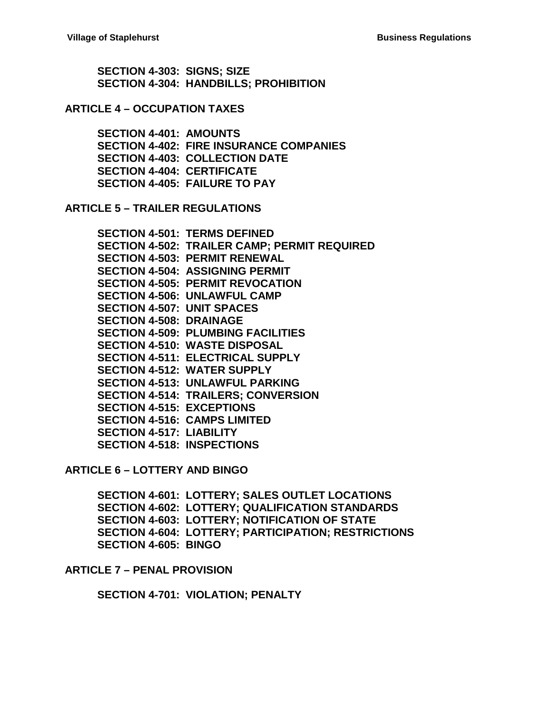**[SECTION 4-303: SIGNS; SIZE](#page-16-3) [SECTION 4-304: HANDBILLS; PROHIBITION](#page-16-4)**

#### **ARTICLE 4 – [OCCUPATION TAXES](#page-18-0)**

**[SECTION 4-401: AMOUNTS](#page-18-1) [SECTION 4-402: FIRE INSURANCE](#page-18-2) COMPANIES [SECTION 4-403: COLLECTION DATE](#page-18-3) [SECTION 4-404: CERTIFICATE](#page-18-4) [SECTION 4-405: FAILURE TO PAY](#page-18-5)**

**ARTICLE 5 – [TRAILER REGULATIONS](#page-20-0)**

**[SECTION 4-501: TERMS DEFINED](#page-20-1) [SECTION 4-502: TRAILER CAMP; PERMIT REQUIRED](#page-20-2) [SECTION 4-503: PERMIT RENEWAL](#page-20-3) [SECTION 4-504: ASSIGNING PERMIT](#page-21-0) [SECTION 4-505: PERMIT REVOCATION](#page-21-1) [SECTION 4-506: UNLAWFUL CAMP](#page-21-2) [SECTION 4-507: UNIT SPACES](#page-21-3) [SECTION 4-508: DRAINAGE](#page-21-4) [SECTION 4-509: PLUMBING FACILITIES](#page-22-0) [SECTION 4-510: WASTE DISPOSAL](#page-22-1) [SECTION 4-511: ELECTRICAL SUPPLY](#page-22-2) [SECTION 4-512: WATER SUPPLY](#page-22-3) [SECTION 4-513: UNLAWFUL PARKING](#page-22-4) [SECTION 4-514: TRAILERS; CONVERSION](#page-22-5) SECTION [4-515: EXCEPTIONS](#page-22-6) [SECTION 4-516: CAMPS LIMITED](#page-23-0) [SECTION 4-517: LIABILITY](#page-23-1) [SECTION 4-518: INSPECTIONS](#page-23-2)**

**ARTICLE 6 – [LOTTERY AND BINGO](#page-24-0)**

**[SECTION 4-601: LOTTERY; SALES](#page-24-1) OUTLET LOCATIONS [SECTION 4-602: LOTTERY; QUALIFICATION STANDARDS](#page-24-2) [SECTION 4-603: LOTTERY; NOTIFICATION OF STATE](#page-25-0) [SECTION 4-604: LOTTERY; PARTICIPATION; RESTRICTIONS](#page-25-1) [SECTION 4-605: BINGO](#page-25-2)**

#### **ARTICLE 7 – [PENAL PROVISION](#page-26-0)**

**[SECTION 4-701: VIOLATION; PENALTY](#page-26-1)**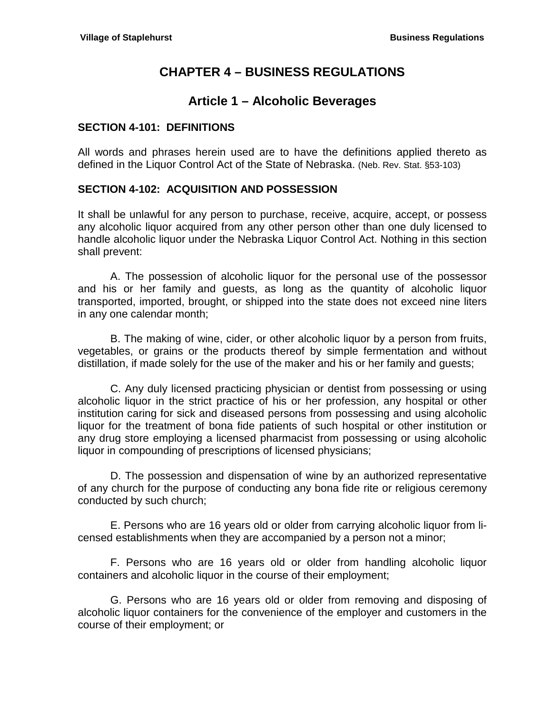# **CHAPTER 4 – BUSINESS REGULATIONS**

# **Article 1 – Alcoholic Beverages**

# <span id="page-2-2"></span><span id="page-2-1"></span><span id="page-2-0"></span>**SECTION 4-101: DEFINITIONS**

All words and phrases herein used are to have the definitions applied thereto as defined in the Liquor Control Act of the State of Nebraska. (Neb. Rev. Stat. §53-103)

# <span id="page-2-3"></span>**SECTION 4-102: ACQUISITION AND POSSESSION**

It shall be unlawful for any person to purchase, receive, acquire, accept, or possess any alcoholic liquor acquired from any other person other than one duly licensed to handle alcoholic liquor under the Nebraska Liquor Control Act. Nothing in this section shall prevent:

A. The possession of alcoholic liquor for the personal use of the possessor and his or her family and guests, as long as the quantity of alcoholic liquor transported, imported, brought, or shipped into the state does not exceed nine liters in any one calendar month;

B. The making of wine, cider, or other alcoholic liquor by a person from fruits, vegetables, or grains or the products thereof by simple fermentation and without distillation, if made solely for the use of the maker and his or her family and guests;

C. Any duly licensed practicing physician or dentist from possessing or using alcoholic liquor in the strict practice of his or her profession, any hospital or other institution caring for sick and diseased persons from possessing and using alcoholic liquor for the treatment of bona fide patients of such hospital or other institution or any drug store employing a licensed pharmacist from possessing or using alcoholic liquor in compounding of prescriptions of licensed physicians;

D. The possession and dispensation of wine by an authorized representative of any church for the purpose of conducting any bona fide rite or religious ceremony conducted by such church;

E. Persons who are 16 years old or older from carrying alcoholic liquor from licensed establishments when they are accompanied by a person not a minor;

F. Persons who are 16 years old or older from handling alcoholic liquor containers and alcoholic liquor in the course of their employment;

G. Persons who are 16 years old or older from removing and disposing of alcoholic liquor containers for the convenience of the employer and customers in the course of their employment; or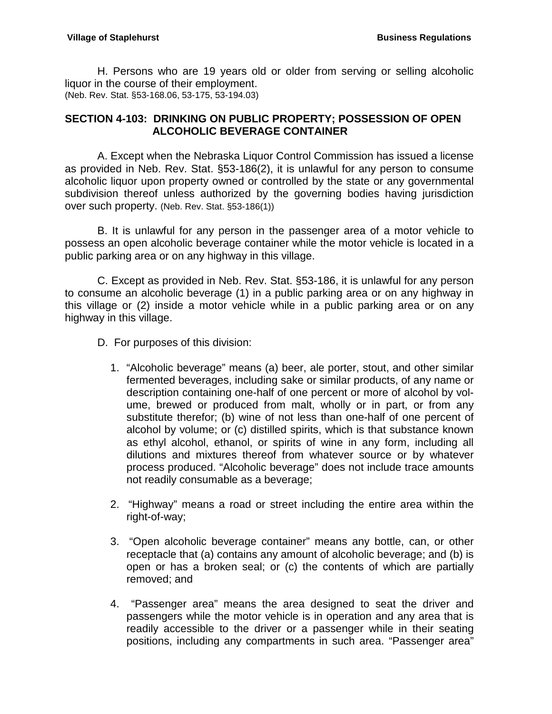H. Persons who are 19 years old or older from serving or selling alcoholic liquor in the course of their employment. (Neb. Rev. Stat. §53-168.06, 53-175, 53-194.03)

# <span id="page-3-0"></span>**SECTION 4-103: DRINKING ON PUBLIC PROPERTY; POSSESSION OF OPEN ALCOHOLIC BEVERAGE CONTAINER**

A. Except when the Nebraska Liquor Control Commission has issued a license as provided in Neb. Rev. Stat. §53-186(2), it is unlawful for any person to consume alcoholic liquor upon property owned or controlled by the state or any governmental subdivision thereof unless authorized by the governing bodies having jurisdiction over such property. (Neb. Rev. Stat. §53-186(1))

B. It is unlawful for any person in the passenger area of a motor vehicle to possess an open alcoholic beverage container while the motor vehicle is located in a public parking area or on any highway in this village.

C. Except as provided in Neb. Rev. Stat. §53-186, it is unlawful for any person to consume an alcoholic beverage (1) in a public parking area or on any highway in this village or (2) inside a motor vehicle while in a public parking area or on any highway in this village.

- D. For purposes of this division:
	- 1. "Alcoholic beverage" means (a) beer, ale porter, stout, and other similar fermented beverages, including sake or similar products, of any name or description containing one-half of one percent or more of alcohol by volume, brewed or produced from malt, wholly or in part, or from any substitute therefor; (b) wine of not less than one-half of one percent of alcohol by volume; or (c) distilled spirits, which is that substance known as ethyl alcohol, ethanol, or spirits of wine in any form, including all dilutions and mixtures thereof from whatever source or by whatever process produced. "Alcoholic beverage" does not include trace amounts not readily consumable as a beverage;
	- 2. "Highway" means a road or street including the entire area within the right-of-way;
	- 3. "Open alcoholic beverage container" means any bottle, can, or other receptacle that (a) contains any amount of alcoholic beverage; and (b) is open or has a broken seal; or (c) the contents of which are partially removed; and
	- 4. "Passenger area" means the area designed to seat the driver and passengers while the motor vehicle is in operation and any area that is readily accessible to the driver or a passenger while in their seating positions, including any compartments in such area. "Passenger area"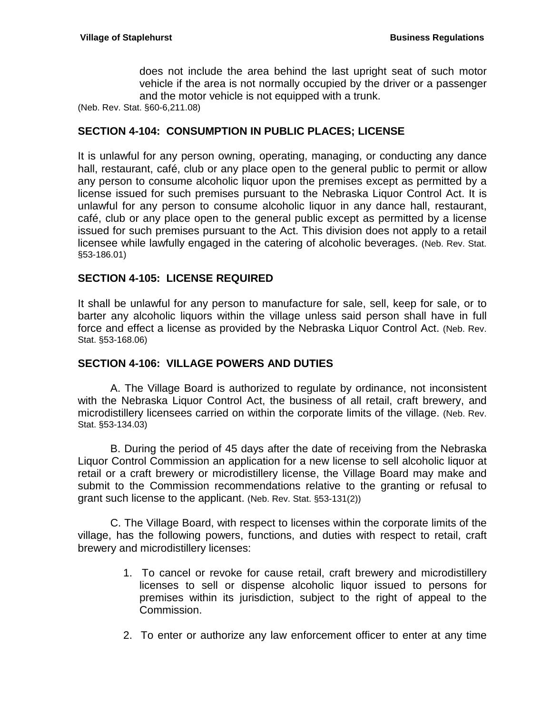does not include the area behind the last upright seat of such motor vehicle if the area is not normally occupied by the driver or a passenger and the motor vehicle is not equipped with a trunk.

(Neb. Rev. Stat. §60-6,211.08)

# <span id="page-4-0"></span>**SECTION 4-104: CONSUMPTION IN PUBLIC PLACES; LICENSE**

It is unlawful for any person owning, operating, managing, or conducting any dance hall, restaurant, café, club or any place open to the general public to permit or allow any person to consume alcoholic liquor upon the premises except as permitted by a license issued for such premises pursuant to the Nebraska Liquor Control Act. It is unlawful for any person to consume alcoholic liquor in any dance hall, restaurant, café, club or any place open to the general public except as permitted by a license issued for such premises pursuant to the Act. This division does not apply to a retail licensee while lawfully engaged in the catering of alcoholic beverages. (Neb. Rev. Stat. §53-186.01)

# <span id="page-4-1"></span>**SECTION 4-105: LICENSE REQUIRED**

It shall be unlawful for any person to manufacture for sale, sell, keep for sale, or to barter any alcoholic liquors within the village unless said person shall have in full force and effect a license as provided by the Nebraska Liquor Control Act. (Neb. Rev. Stat. §53-168.06)

# <span id="page-4-2"></span>**SECTION 4-106: VILLAGE POWERS AND DUTIES**

A. The Village Board is authorized to regulate by ordinance, not inconsistent with the Nebraska Liquor Control Act, the business of all retail, craft brewery, and microdistillery licensees carried on within the corporate limits of the village. (Neb. Rev. Stat. §53-134.03)

B. During the period of 45 days after the date of receiving from the Nebraska Liquor Control Commission an application for a new license to sell alcoholic liquor at retail or a craft brewery or microdistillery license, the Village Board may make and submit to the Commission recommendations relative to the granting or refusal to grant such license to the applicant. (Neb. Rev. Stat. §53-131(2))

C. The Village Board, with respect to licenses within the corporate limits of the village, has the following powers, functions, and duties with respect to retail, craft brewery and microdistillery licenses:

- 1. To cancel or revoke for cause retail, craft brewery and microdistillery licenses to sell or dispense alcoholic liquor issued to persons for premises within its jurisdiction, subject to the right of appeal to the Commission.
- 2. To enter or authorize any law enforcement officer to enter at any time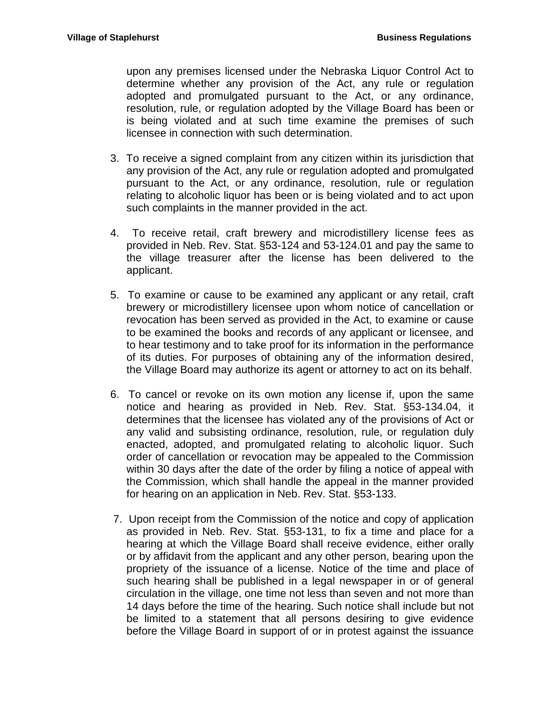upon any premises licensed under the Nebraska Liquor Control Act to determine whether any provision of the Act, any rule or regulation adopted and promulgated pursuant to the Act, or any ordinance, resolution, rule, or regulation adopted by the Village Board has been or is being violated and at such time examine the premises of such licensee in connection with such determination.

- 3. To receive a signed complaint from any citizen within its jurisdiction that any provision of the Act, any rule or regulation adopted and promulgated pursuant to the Act, or any ordinance, resolution, rule or regulation relating to alcoholic liquor has been or is being violated and to act upon such complaints in the manner provided in the act.
- 4. To receive retail, craft brewery and microdistillery license fees as provided in Neb. Rev. Stat. §53-124 and 53-124.01 and pay the same to the village treasurer after the license has been delivered to the applicant.
- 5. To examine or cause to be examined any applicant or any retail, craft brewery or microdistillery licensee upon whom notice of cancellation or revocation has been served as provided in the Act, to examine or cause to be examined the books and records of any applicant or licensee, and to hear testimony and to take proof for its information in the performance of its duties. For purposes of obtaining any of the information desired, the Village Board may authorize its agent or attorney to act on its behalf.
- 6. To cancel or revoke on its own motion any license if, upon the same notice and hearing as provided in Neb. Rev. Stat. §53-134.04, it determines that the licensee has violated any of the provisions of Act or any valid and subsisting ordinance, resolution, rule, or regulation duly enacted, adopted, and promulgated relating to alcoholic liquor. Such order of cancellation or revocation may be appealed to the Commission within 30 days after the date of the order by filing a notice of appeal with the Commission, which shall handle the appeal in the manner provided for hearing on an application in Neb. Rev. Stat. §53-133.
- 7. Upon receipt from the Commission of the notice and copy of application as provided in Neb. Rev. Stat. §53-131, to fix a time and place for a hearing at which the Village Board shall receive evidence, either orally or by affidavit from the applicant and any other person, bearing upon the propriety of the issuance of a license. Notice of the time and place of such hearing shall be published in a legal newspaper in or of general circulation in the village, one time not less than seven and not more than 14 days before the time of the hearing. Such notice shall include but not be limited to a statement that all persons desiring to give evidence before the Village Board in support of or in protest against the issuance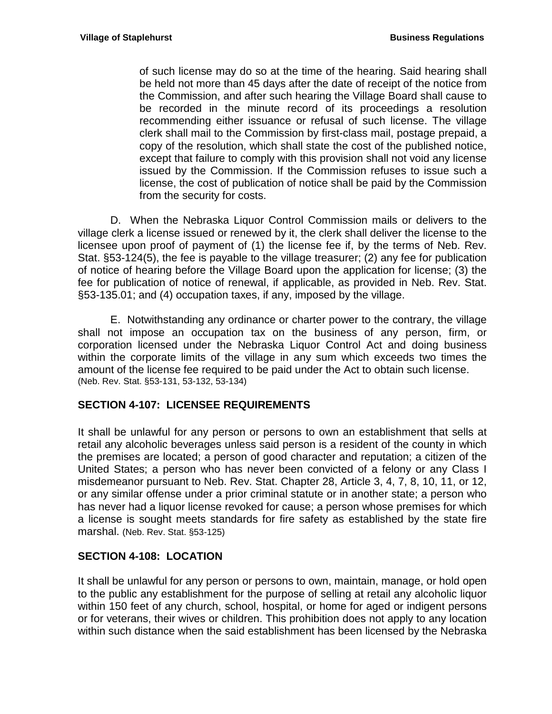of such license may do so at the time of the hearing. Said hearing shall be held not more than 45 days after the date of receipt of the notice from the Commission, and after such hearing the Village Board shall cause to be recorded in the minute record of its proceedings a resolution recommending either issuance or refusal of such license. The village clerk shall mail to the Commission by first-class mail, postage prepaid, a copy of the resolution, which shall state the cost of the published notice, except that failure to comply with this provision shall not void any license issued by the Commission. If the Commission refuses to issue such a license, the cost of publication of notice shall be paid by the Commission from the security for costs.

D. When the Nebraska Liquor Control Commission mails or delivers to the village clerk a license issued or renewed by it, the clerk shall deliver the license to the licensee upon proof of payment of (1) the license fee if, by the terms of Neb. Rev. Stat. §53-124(5), the fee is payable to the village treasurer; (2) any fee for publication of notice of hearing before the Village Board upon the application for license; (3) the fee for publication of notice of renewal, if applicable, as provided in Neb. Rev. Stat. §53-135.01; and (4) occupation taxes, if any, imposed by the village.

E. Notwithstanding any ordinance or charter power to the contrary, the village shall not impose an occupation tax on the business of any person, firm, or corporation licensed under the Nebraska Liquor Control Act and doing business within the corporate limits of the village in any sum which exceeds two times the amount of the license fee required to be paid under the Act to obtain such license. (Neb. Rev. Stat. §53-131, 53-132, 53-134)

# <span id="page-6-0"></span>**SECTION 4-107: LICENSEE REQUIREMENTS**

It shall be unlawful for any person or persons to own an establishment that sells at retail any alcoholic beverages unless said person is a resident of the county in which the premises are located; a person of good character and reputation; a citizen of the United States; a person who has never been convicted of a felony or any Class I misdemeanor pursuant to Neb. Rev. Stat. Chapter 28, Article 3, 4, 7, 8, 10, 11, or 12, or any similar offense under a prior criminal statute or in another state; a person who has never had a liquor license revoked for cause; a person whose premises for which a license is sought meets standards for fire safety as established by the state fire marshal. (Neb. Rev. Stat. §53-125)

# <span id="page-6-1"></span>**SECTION 4-108: LOCATION**

It shall be unlawful for any person or persons to own, maintain, manage, or hold open to the public any establishment for the purpose of selling at retail any alcoholic liquor within 150 feet of any church, school, hospital, or home for aged or indigent persons or for veterans, their wives or children. This prohibition does not apply to any location within such distance when the said establishment has been licensed by the Nebraska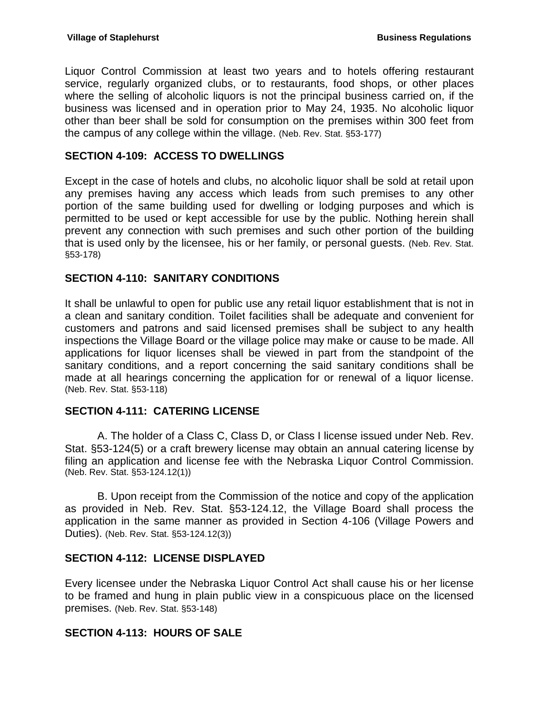Liquor Control Commission at least two years and to hotels offering restaurant service, regularly organized clubs, or to restaurants, food shops, or other places where the selling of alcoholic liquors is not the principal business carried on, if the business was licensed and in operation prior to May 24, 1935. No alcoholic liquor other than beer shall be sold for consumption on the premises within 300 feet from the campus of any college within the village. (Neb. Rev. Stat. §53-177)

# <span id="page-7-0"></span>**SECTION 4-109: ACCESS TO DWELLINGS**

Except in the case of hotels and clubs, no alcoholic liquor shall be sold at retail upon any premises having any access which leads from such premises to any other portion of the same building used for dwelling or lodging purposes and which is permitted to be used or kept accessible for use by the public. Nothing herein shall prevent any connection with such premises and such other portion of the building that is used only by the licensee, his or her family, or personal guests. (Neb. Rev. Stat. §53-178)

# <span id="page-7-1"></span>**SECTION 4-110: SANITARY CONDITIONS**

It shall be unlawful to open for public use any retail liquor establishment that is not in a clean and sanitary condition. Toilet facilities shall be adequate and convenient for customers and patrons and said licensed premises shall be subject to any health inspections the Village Board or the village police may make or cause to be made. All applications for liquor licenses shall be viewed in part from the standpoint of the sanitary conditions, and a report concerning the said sanitary conditions shall be made at all hearings concerning the application for or renewal of a liquor license. (Neb. Rev. Stat. §53-118)

# <span id="page-7-2"></span>**SECTION 4-111: CATERING LICENSE**

A. The holder of a Class C, Class D, or Class I license issued under Neb. Rev. Stat. §53-124(5) or a craft brewery license may obtain an annual catering license by filing an application and license fee with the Nebraska Liquor Control Commission. (Neb. Rev. Stat. §53-124.12(1))

B. Upon receipt from the Commission of the notice and copy of the application as provided in Neb. Rev. Stat. §53-124.12, the Village Board shall process the application in the same manner as provided in Section 4-106 (Village Powers and Duties). (Neb. Rev. Stat. §53-124.12(3))

# <span id="page-7-3"></span>**SECTION 4-112: LICENSE DISPLAYED**

Every licensee under the Nebraska Liquor Control Act shall cause his or her license to be framed and hung in plain public view in a conspicuous place on the licensed premises. (Neb. Rev. Stat. §53-148)

# <span id="page-7-4"></span>**SECTION 4-113: HOURS OF SALE**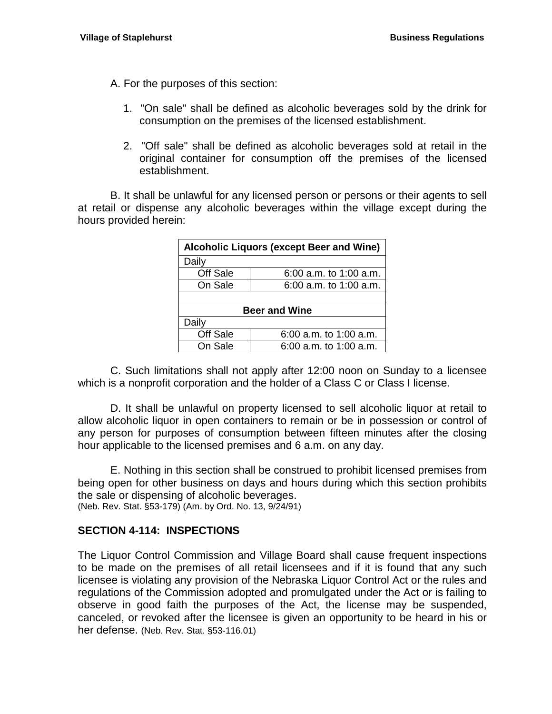A. For the purposes of this section:

- 1. "On sale" shall be defined as alcoholic beverages sold by the drink for consumption on the premises of the licensed establishment.
- 2. "Off sale" shall be defined as alcoholic beverages sold at retail in the original container for consumption off the premises of the licensed establishment.

B. It shall be unlawful for any licensed person or persons or their agents to sell at retail or dispense any alcoholic beverages within the village except during the hours provided herein:

| <b>Alcoholic Liquors (except Beer and Wine)</b> |                          |  |
|-------------------------------------------------|--------------------------|--|
| Daily                                           |                          |  |
| Off Sale                                        | 6:00 a.m. to 1:00 a.m.   |  |
| On Sale                                         | 6:00 a.m. to 1:00 a.m.   |  |
|                                                 |                          |  |
| <b>Beer and Wine</b>                            |                          |  |
| Daily                                           |                          |  |
| Off Sale                                        | $6:00$ a.m. to 1:00 a.m. |  |
| On Sale                                         | $6:00$ a.m. to 1:00 a.m. |  |

C. Such limitations shall not apply after 12:00 noon on Sunday to a licensee which is a nonprofit corporation and the holder of a Class C or Class I license.

D. It shall be unlawful on property licensed to sell alcoholic liquor at retail to allow alcoholic liquor in open containers to remain or be in possession or control of any person for purposes of consumption between fifteen minutes after the closing hour applicable to the licensed premises and 6 a.m. on any day.

E. Nothing in this section shall be construed to prohibit licensed premises from being open for other business on days and hours during which this section prohibits the sale or dispensing of alcoholic beverages.

(Neb. Rev. Stat. §53-179) (Am. by Ord. No. 13, 9/24/91)

# <span id="page-8-0"></span>**SECTION 4-114: INSPECTIONS**

The Liquor Control Commission and Village Board shall cause frequent inspections to be made on the premises of all retail licensees and if it is found that any such licensee is violating any provision of the Nebraska Liquor Control Act or the rules and regulations of the Commission adopted and promulgated under the Act or is failing to observe in good faith the purposes of the Act, the license may be suspended, canceled, or revoked after the licensee is given an opportunity to be heard in his or her defense. (Neb. Rev. Stat. §53-116.01)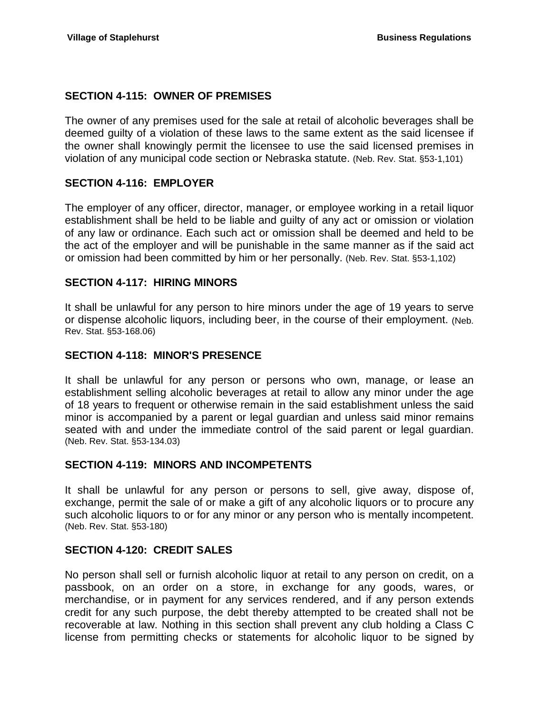# <span id="page-9-0"></span>**SECTION 4-115: OWNER OF PREMISES**

The owner of any premises used for the sale at retail of alcoholic beverages shall be deemed guilty of a violation of these laws to the same extent as the said licensee if the owner shall knowingly permit the licensee to use the said licensed premises in violation of any municipal code section or Nebraska statute. (Neb. Rev. Stat. §53-1,101)

# <span id="page-9-1"></span>**SECTION 4-116: EMPLOYER**

The employer of any officer, director, manager, or employee working in a retail liquor establishment shall be held to be liable and guilty of any act or omission or violation of any law or ordinance. Each such act or omission shall be deemed and held to be the act of the employer and will be punishable in the same manner as if the said act or omission had been committed by him or her personally. (Neb. Rev. Stat. §53-1,102)

# <span id="page-9-2"></span>**SECTION 4-117: HIRING MINORS**

It shall be unlawful for any person to hire minors under the age of 19 years to serve or dispense alcoholic liquors, including beer, in the course of their employment. (Neb. Rev. Stat. §53-168.06)

#### <span id="page-9-3"></span>**SECTION 4-118: MINOR'S PRESENCE**

It shall be unlawful for any person or persons who own, manage, or lease an establishment selling alcoholic beverages at retail to allow any minor under the age of 18 years to frequent or otherwise remain in the said establishment unless the said minor is accompanied by a parent or legal guardian and unless said minor remains seated with and under the immediate control of the said parent or legal guardian. (Neb. Rev. Stat. §53-134.03)

# <span id="page-9-4"></span>**SECTION 4-119: MINORS AND INCOMPETENTS**

It shall be unlawful for any person or persons to sell, give away, dispose of, exchange, permit the sale of or make a gift of any alcoholic liquors or to procure any such alcoholic liquors to or for any minor or any person who is mentally incompetent. (Neb. Rev. Stat. §53-180)

# <span id="page-9-5"></span>**SECTION 4-120: CREDIT SALES**

No person shall sell or furnish alcoholic liquor at retail to any person on credit, on a passbook, on an order on a store, in exchange for any goods, wares, or merchandise, or in payment for any services rendered, and if any person extends credit for any such purpose, the debt thereby attempted to be created shall not be recoverable at law. Nothing in this section shall prevent any club holding a Class C license from permitting checks or statements for alcoholic liquor to be signed by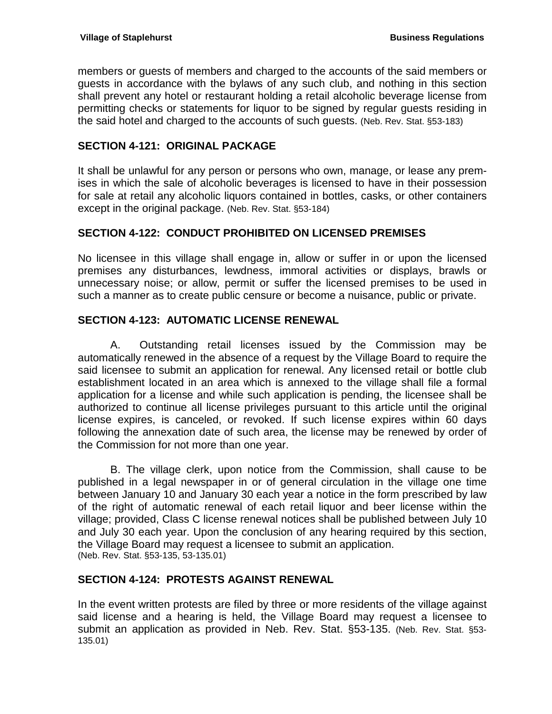members or guests of members and charged to the accounts of the said members or guests in accordance with the bylaws of any such club, and nothing in this section shall prevent any hotel or restaurant holding a retail alcoholic beverage license from permitting checks or statements for liquor to be signed by regular guests residing in the said hotel and charged to the accounts of such guests. (Neb. Rev. Stat. §53-183)

# <span id="page-10-0"></span>**SECTION 4-121: ORIGINAL PACKAGE**

It shall be unlawful for any person or persons who own, manage, or lease any premises in which the sale of alcoholic beverages is licensed to have in their possession for sale at retail any alcoholic liquors contained in bottles, casks, or other containers except in the original package. (Neb. Rev. Stat. §53-184)

# <span id="page-10-1"></span>**SECTION 4-122: CONDUCT PROHIBITED ON LICENSED PREMISES**

No licensee in this village shall engage in, allow or suffer in or upon the licensed premises any disturbances, lewdness, immoral activities or displays, brawls or unnecessary noise; or allow, permit or suffer the licensed premises to be used in such a manner as to create public censure or become a nuisance, public or private.

# <span id="page-10-2"></span>**SECTION 4-123: AUTOMATIC LICENSE RENEWAL**

A. Outstanding retail licenses issued by the Commission may be automatically renewed in the absence of a request by the Village Board to require the said licensee to submit an application for renewal. Any licensed retail or bottle club establishment located in an area which is annexed to the village shall file a formal application for a license and while such application is pending, the licensee shall be authorized to continue all license privileges pursuant to this article until the original license expires, is canceled, or revoked. If such license expires within 60 days following the annexation date of such area, the license may be renewed by order of the Commission for not more than one year.

B. The village clerk, upon notice from the Commission, shall cause to be published in a legal newspaper in or of general circulation in the village one time between January 10 and January 30 each year a notice in the form prescribed by law of the right of automatic renewal of each retail liquor and beer license within the village; provided, Class C license renewal notices shall be published between July 10 and July 30 each year. Upon the conclusion of any hearing required by this section, the Village Board may request a licensee to submit an application. (Neb. Rev. Stat. §53-135, 53-135.01)

# <span id="page-10-3"></span>**SECTION 4-124: PROTESTS AGAINST RENEWAL**

In the event written protests are filed by three or more residents of the village against said license and a hearing is held, the Village Board may request a licensee to submit an application as provided in Neb. Rev. Stat. §53-135. (Neb. Rev. Stat. §53- 135.01)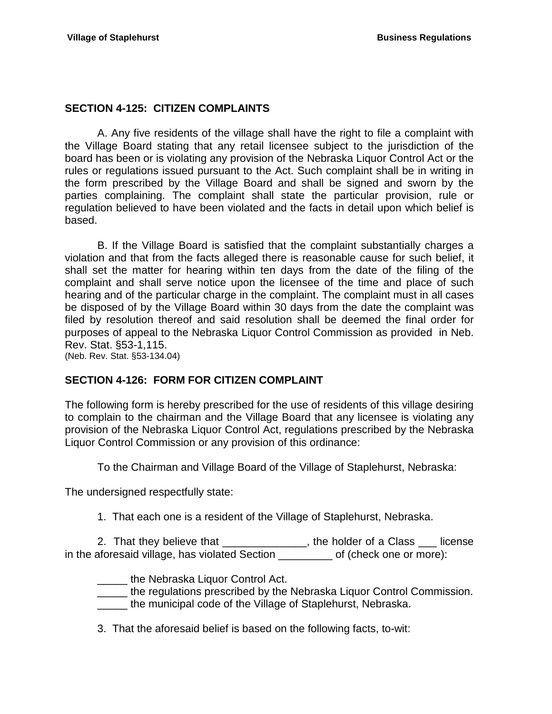# <span id="page-11-0"></span>**SECTION 4-125: CITIZEN COMPLAINTS**

A. Any five residents of the village shall have the right to file a complaint with the Village Board stating that any retail licensee subject to the jurisdiction of the board has been or is violating any provision of the Nebraska Liquor Control Act or the rules or regulations issued pursuant to the Act. Such complaint shall be in writing in the form prescribed by the Village Board and shall be signed and sworn by the parties complaining. The complaint shall state the particular provision, rule or regulation believed to have been violated and the facts in detail upon which belief is based.

B. If the Village Board is satisfied that the complaint substantially charges a violation and that from the facts alleged there is reasonable cause for such belief, it shall set the matter for hearing within ten days from the date of the filing of the complaint and shall serve notice upon the licensee of the time and place of such hearing and of the particular charge in the complaint. The complaint must in all cases be disposed of by the Village Board within 30 days from the date the complaint was filed by resolution thereof and said resolution shall be deemed the final order for purposes of appeal to the Nebraska Liquor Control Commission as provided in Neb. Rev. Stat. §53-1,115.

(Neb. Rev. Stat. §53-134.04)

# <span id="page-11-1"></span>**SECTION 4-126: FORM FOR CITIZEN COMPLAINT**

The following form is hereby prescribed for the use of residents of this village desiring to complain to the chairman and the Village Board that any licensee is violating any provision of the Nebraska Liquor Control Act, regulations prescribed by the Nebraska Liquor Control Commission or any provision of this ordinance:

To the Chairman and Village Board of the Village of Staplehurst, Nebraska:

The undersigned respectfully state:

1. That each one is a resident of the Village of Staplehurst, Nebraska.

2. That they believe that \_\_\_\_\_\_\_\_\_\_\_\_\_\_, the holder of a Class \_\_\_ license in the aforesaid village, has violated Section \_\_\_\_\_\_\_\_\_ of (check one or more):

**LECTE** the Nebraska Liquor Control Act.

\_\_\_\_\_ the regulations prescribed by the Nebraska Liquor Control Commission.

\_\_\_\_\_ the municipal code of the Village of Staplehurst, Nebraska.

3. That the aforesaid belief is based on the following facts, to-wit: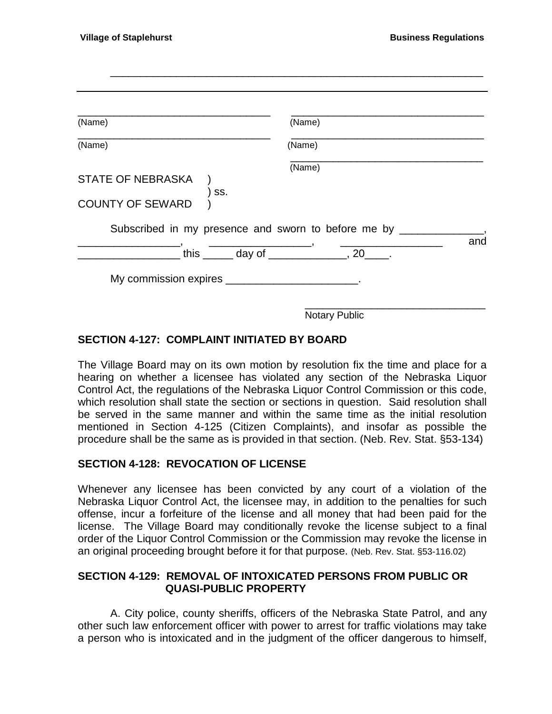| (Name)                                                     | (Name)                                                           |     |
|------------------------------------------------------------|------------------------------------------------------------------|-----|
| (Name)                                                     | (Name)                                                           |     |
| <b>STATE OF NEBRASKA</b><br>SS.<br><b>COUNTY OF SEWARD</b> | (Name)<br>Subscribed in my presence and sworn to before me by __ |     |
|                                                            | this $\frac{1}{2}$ day of $\frac{1}{2}$ , 20 $\frac{1}{2}$       | and |
|                                                            |                                                                  |     |

# <span id="page-12-0"></span>**SECTION 4-127: COMPLAINT INITIATED BY BOARD**

The Village Board may on its own motion by resolution fix the time and place for a hearing on whether a licensee has violated any section of the Nebraska Liquor Control Act, the regulations of the Nebraska Liquor Control Commission or this code, which resolution shall state the section or sections in question. Said resolution shall be served in the same manner and within the same time as the initial resolution mentioned in Section 4-125 (Citizen Complaints), and insofar as possible the procedure shall be the same as is provided in that section. (Neb. Rev. Stat. §53-134)

# <span id="page-12-1"></span>**SECTION 4-128: REVOCATION OF LICENSE**

Whenever any licensee has been convicted by any court of a violation of the Nebraska Liquor Control Act, the licensee may, in addition to the penalties for such offense, incur a forfeiture of the license and all money that had been paid for the license. The Village Board may conditionally revoke the license subject to a final order of the Liquor Control Commission or the Commission may revoke the license in an original proceeding brought before it for that purpose. (Neb. Rev. Stat. §53-116.02)

# <span id="page-12-2"></span>**SECTION 4-129: REMOVAL OF INTOXICATED PERSONS FROM PUBLIC OR QUASI-PUBLIC PROPERTY**

A. City police, county sheriffs, officers of the Nebraska State Patrol, and any other such law enforcement officer with power to arrest for traffic violations may take a person who is intoxicated and in the judgment of the officer dangerous to himself,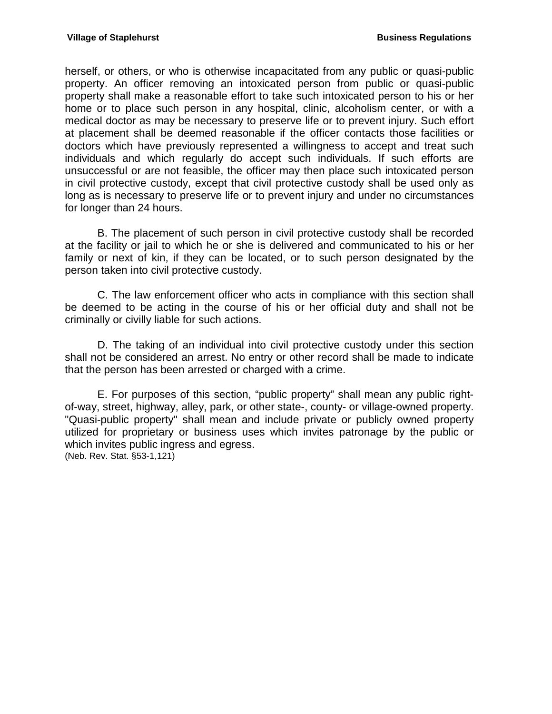herself, or others, or who is otherwise incapacitated from any public or quasi-public property. An officer removing an intoxicated person from public or quasi-public property shall make a reasonable effort to take such intoxicated person to his or her home or to place such person in any hospital, clinic, alcoholism center, or with a medical doctor as may be necessary to preserve life or to prevent injury. Such effort at placement shall be deemed reasonable if the officer contacts those facilities or doctors which have previously represented a willingness to accept and treat such individuals and which regularly do accept such individuals. If such efforts are unsuccessful or are not feasible, the officer may then place such intoxicated person in civil protective custody, except that civil protective custody shall be used only as long as is necessary to preserve life or to prevent injury and under no circumstances for longer than 24 hours.

B. The placement of such person in civil protective custody shall be recorded at the facility or jail to which he or she is delivered and communicated to his or her family or next of kin, if they can be located, or to such person designated by the person taken into civil protective custody.

C. The law enforcement officer who acts in compliance with this section shall be deemed to be acting in the course of his or her official duty and shall not be criminally or civilly liable for such actions.

D. The taking of an individual into civil protective custody under this section shall not be considered an arrest. No entry or other record shall be made to indicate that the person has been arrested or charged with a crime.

E. For purposes of this section, "public property" shall mean any public rightof-way, street, highway, alley, park, or other state-, county- or village-owned property. "Quasi-public property" shall mean and include private or publicly owned property utilized for proprietary or business uses which invites patronage by the public or which invites public ingress and egress. (Neb. Rev. Stat. §53-1,121)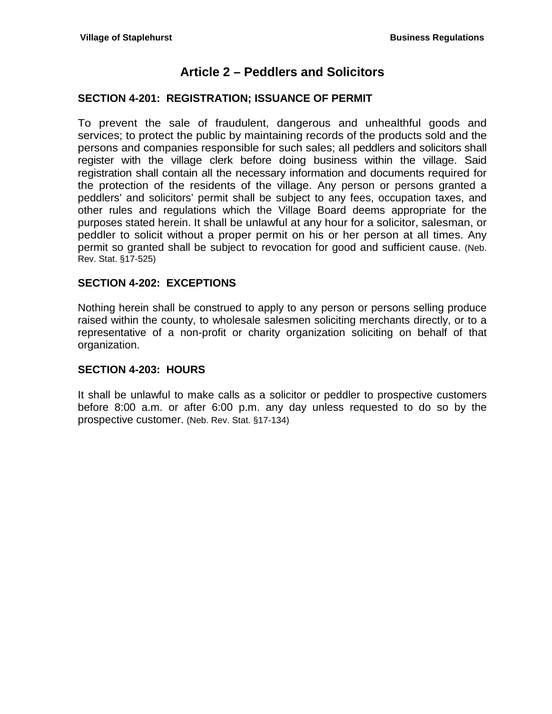# **Article 2 – Peddlers and Solicitors**

# <span id="page-14-1"></span><span id="page-14-0"></span>**SECTION 4-201: REGISTRATION; ISSUANCE OF PERMIT**

To prevent the sale of fraudulent, dangerous and unhealthful goods and services; to protect the public by maintaining records of the products sold and the persons and companies responsible for such sales; all peddlers and solicitors shall register with the village clerk before doing business within the village. Said registration shall contain all the necessary information and documents required for the protection of the residents of the village. Any person or persons granted a peddlers' and solicitors' permit shall be subject to any fees, occupation taxes, and other rules and regulations which the Village Board deems appropriate for the purposes stated herein. It shall be unlawful at any hour for a solicitor, salesman, or peddler to solicit without a proper permit on his or her person at all times. Any permit so granted shall be subject to revocation for good and sufficient cause. (Neb. Rev. Stat. §17-525)

# <span id="page-14-2"></span>**SECTION 4-202: EXCEPTIONS**

Nothing herein shall be construed to apply to any person or persons selling produce raised within the county, to wholesale salesmen soliciting merchants directly, or to a representative of a non-profit or charity organization soliciting on behalf of that organization.

# <span id="page-14-3"></span>**SECTION 4-203: HOURS**

It shall be unlawful to make calls as a solicitor or peddler to prospective customers before 8:00 a.m. or after 6:00 p.m. any day unless requested to do so by the prospective customer. (Neb. Rev. Stat. §17-134)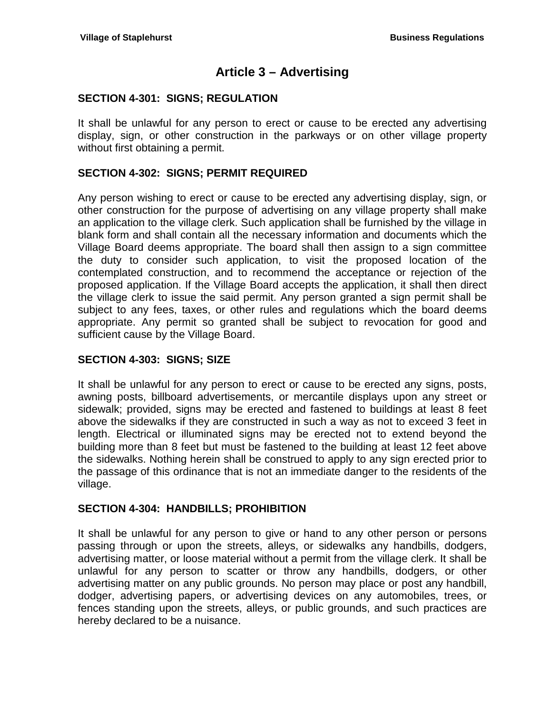# **Article 3 – Advertising**

# <span id="page-16-1"></span><span id="page-16-0"></span>**SECTION 4-301: SIGNS; REGULATION**

It shall be unlawful for any person to erect or cause to be erected any advertising display, sign, or other construction in the parkways or on other village property without first obtaining a permit.

# <span id="page-16-2"></span>**SECTION 4-302: SIGNS; PERMIT REQUIRED**

Any person wishing to erect or cause to be erected any advertising display, sign, or other construction for the purpose of advertising on any village property shall make an application to the village clerk. Such application shall be furnished by the village in blank form and shall contain all the necessary information and documents which the Village Board deems appropriate. The board shall then assign to a sign committee the duty to consider such application, to visit the proposed location of the contemplated construction, and to recommend the acceptance or rejection of the proposed application. If the Village Board accepts the application, it shall then direct the village clerk to issue the said permit. Any person granted a sign permit shall be subject to any fees, taxes, or other rules and regulations which the board deems appropriate. Any permit so granted shall be subject to revocation for good and sufficient cause by the Village Board.

# <span id="page-16-3"></span>**SECTION 4-303: SIGNS; SIZE**

It shall be unlawful for any person to erect or cause to be erected any signs, posts, awning posts, billboard advertisements, or mercantile displays upon any street or sidewalk; provided, signs may be erected and fastened to buildings at least 8 feet above the sidewalks if they are constructed in such a way as not to exceed 3 feet in length. Electrical or illuminated signs may be erected not to extend beyond the building more than 8 feet but must be fastened to the building at least 12 feet above the sidewalks. Nothing herein shall be construed to apply to any sign erected prior to the passage of this ordinance that is not an immediate danger to the residents of the village.

# <span id="page-16-4"></span>**SECTION 4-304: HANDBILLS; PROHIBITION**

It shall be unlawful for any person to give or hand to any other person or persons passing through or upon the streets, alleys, or sidewalks any handbills, dodgers, advertising matter, or loose material without a permit from the village clerk. It shall be unlawful for any person to scatter or throw any handbills, dodgers, or other advertising matter on any public grounds. No person may place or post any handbill, dodger, advertising papers, or advertising devices on any automobiles, trees, or fences standing upon the streets, alleys, or public grounds, and such practices are hereby declared to be a nuisance.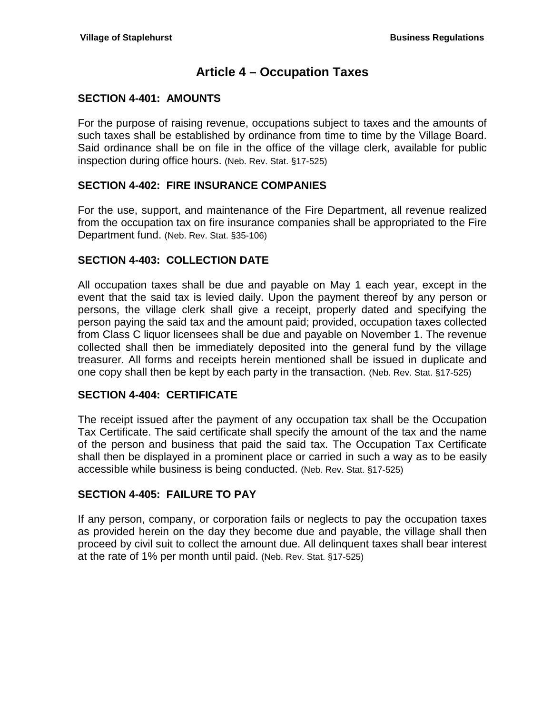# **Article 4 – Occupation Taxes**

# <span id="page-18-1"></span><span id="page-18-0"></span>**SECTION 4-401: AMOUNTS**

For the purpose of raising revenue, occupations subject to taxes and the amounts of such taxes shall be established by ordinance from time to time by the Village Board. Said ordinance shall be on file in the office of the village clerk, available for public inspection during office hours. (Neb. Rev. Stat. §17-525)

# <span id="page-18-2"></span>**SECTION 4-402: FIRE INSURANCE COMPANIES**

For the use, support, and maintenance of the Fire Department, all revenue realized from the occupation tax on fire insurance companies shall be appropriated to the Fire Department fund. (Neb. Rev. Stat. §35-106)

# <span id="page-18-3"></span>**SECTION 4-403: COLLECTION DATE**

All occupation taxes shall be due and payable on May 1 each year, except in the event that the said tax is levied daily. Upon the payment thereof by any person or persons, the village clerk shall give a receipt, properly dated and specifying the person paying the said tax and the amount paid; provided, occupation taxes collected from Class C liquor licensees shall be due and payable on November 1. The revenue collected shall then be immediately deposited into the general fund by the village treasurer. All forms and receipts herein mentioned shall be issued in duplicate and one copy shall then be kept by each party in the transaction. (Neb. Rev. Stat. §17-525)

# <span id="page-18-4"></span>**SECTION 4-404: CERTIFICATE**

The receipt issued after the payment of any occupation tax shall be the Occupation Tax Certificate. The said certificate shall specify the amount of the tax and the name of the person and business that paid the said tax. The Occupation Tax Certificate shall then be displayed in a prominent place or carried in such a way as to be easily accessible while business is being conducted. (Neb. Rev. Stat. §17-525)

# <span id="page-18-5"></span>**SECTION 4-405: FAILURE TO PAY**

If any person, company, or corporation fails or neglects to pay the occupation taxes as provided herein on the day they become due and payable, the village shall then proceed by civil suit to collect the amount due. All delinquent taxes shall bear interest at the rate of 1% per month until paid. (Neb. Rev. Stat. §17-525)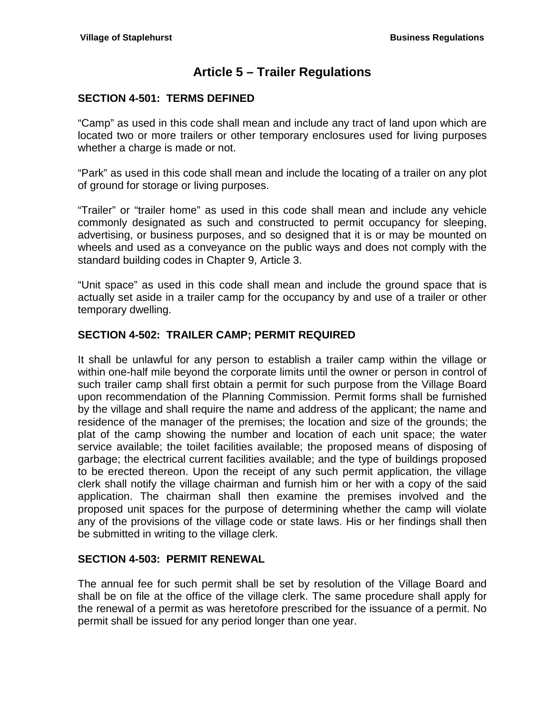# **Article 5 – Trailer Regulations**

# <span id="page-20-1"></span><span id="page-20-0"></span>**SECTION 4-501: TERMS DEFINED**

"Camp" as used in this code shall mean and include any tract of land upon which are located two or more trailers or other temporary enclosures used for living purposes whether a charge is made or not.

"Park" as used in this code shall mean and include the locating of a trailer on any plot of ground for storage or living purposes.

"Trailer" or "trailer home" as used in this code shall mean and include any vehicle commonly designated as such and constructed to permit occupancy for sleeping, advertising, or business purposes, and so designed that it is or may be mounted on wheels and used as a conveyance on the public ways and does not comply with the standard building codes in Chapter 9, Article 3.

"Unit space" as used in this code shall mean and include the ground space that is actually set aside in a trailer camp for the occupancy by and use of a trailer or other temporary dwelling.

# <span id="page-20-2"></span>**SECTION 4-502: TRAILER CAMP; PERMIT REQUIRED**

It shall be unlawful for any person to establish a trailer camp within the village or within one-half mile beyond the corporate limits until the owner or person in control of such trailer camp shall first obtain a permit for such purpose from the Village Board upon recommendation of the Planning Commission. Permit forms shall be furnished by the village and shall require the name and address of the applicant; the name and residence of the manager of the premises; the location and size of the grounds; the plat of the camp showing the number and location of each unit space; the water service available; the toilet facilities available; the proposed means of disposing of garbage; the electrical current facilities available; and the type of buildings proposed to be erected thereon. Upon the receipt of any such permit application, the village clerk shall notify the village chairman and furnish him or her with a copy of the said application. The chairman shall then examine the premises involved and the proposed unit spaces for the purpose of determining whether the camp will violate any of the provisions of the village code or state laws. His or her findings shall then be submitted in writing to the village clerk.

# <span id="page-20-3"></span>**SECTION 4-503: PERMIT RENEWAL**

The annual fee for such permit shall be set by resolution of the Village Board and shall be on file at the office of the village clerk. The same procedure shall apply for the renewal of a permit as was heretofore prescribed for the issuance of a permit. No permit shall be issued for any period longer than one year.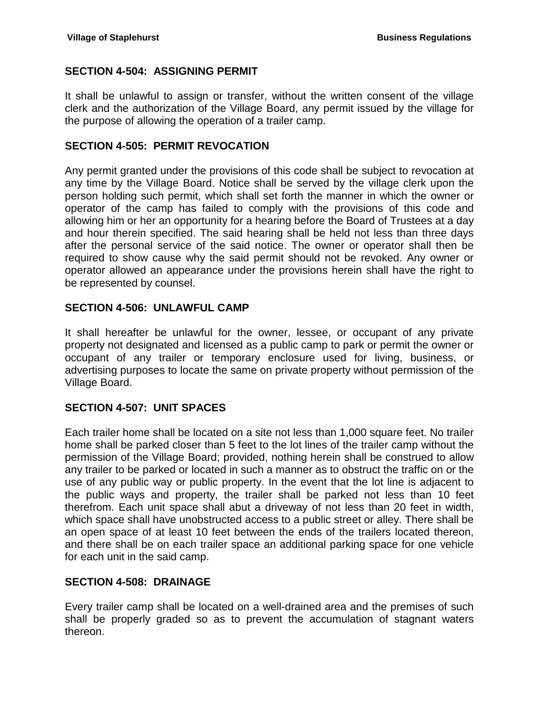# <span id="page-21-0"></span>**SECTION 4-504: ASSIGNING PERMIT**

It shall be unlawful to assign or transfer, without the written consent of the village clerk and the authorization of the Village Board, any permit issued by the village for the purpose of allowing the operation of a trailer camp.

#### <span id="page-21-1"></span>**SECTION 4-505: PERMIT REVOCATION**

Any permit granted under the provisions of this code shall be subject to revocation at any time by the Village Board. Notice shall be served by the village clerk upon the person holding such permit, which shall set forth the manner in which the owner or operator of the camp has failed to comply with the provisions of this code and allowing him or her an opportunity for a hearing before the Board of Trustees at a day and hour therein specified. The said hearing shall be held not less than three days after the personal service of the said notice. The owner or operator shall then be required to show cause why the said permit should not be revoked. Any owner or operator allowed an appearance under the provisions herein shall have the right to be represented by counsel.

# <span id="page-21-2"></span>**SECTION 4-506: UNLAWFUL CAMP**

It shall hereafter be unlawful for the owner, lessee, or occupant of any private property not designated and licensed as a public camp to park or permit the owner or occupant of any trailer or temporary enclosure used for living, business, or advertising purposes to locate the same on private property without permission of the Village Board.

# <span id="page-21-3"></span>**SECTION 4-507: UNIT SPACES**

Each trailer home shall be located on a site not less than 1,000 square feet. No trailer home shall be parked closer than 5 feet to the lot lines of the trailer camp without the permission of the Village Board; provided, nothing herein shall be construed to allow any trailer to be parked or located in such a manner as to obstruct the traffic on or the use of any public way or public property. In the event that the lot line is adjacent to the public ways and property, the trailer shall be parked not less than 10 feet therefrom. Each unit space shall abut a driveway of not less than 20 feet in width, which space shall have unobstructed access to a public street or alley. There shall be an open space of at least 10 feet between the ends of the trailers located thereon, and there shall be on each trailer space an additional parking space for one vehicle for each unit in the said camp.

#### <span id="page-21-4"></span>**SECTION 4-508: DRAINAGE**

Every trailer camp shall be located on a well-drained area and the premises of such shall be properly graded so as to prevent the accumulation of stagnant waters thereon.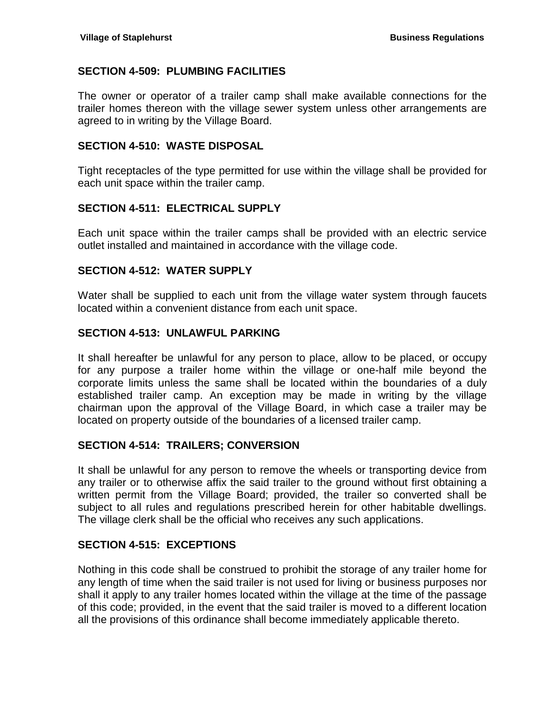#### <span id="page-22-0"></span>**SECTION 4-509: PLUMBING FACILITIES**

The owner or operator of a trailer camp shall make available connections for the trailer homes thereon with the village sewer system unless other arrangements are agreed to in writing by the Village Board.

#### <span id="page-22-1"></span>**SECTION 4-510: WASTE DISPOSAL**

Tight receptacles of the type permitted for use within the village shall be provided for each unit space within the trailer camp.

#### <span id="page-22-2"></span>**SECTION 4-511: ELECTRICAL SUPPLY**

Each unit space within the trailer camps shall be provided with an electric service outlet installed and maintained in accordance with the village code.

#### <span id="page-22-3"></span>**SECTION 4-512: WATER SUPPLY**

Water shall be supplied to each unit from the village water system through faucets located within a convenient distance from each unit space.

#### <span id="page-22-4"></span>**SECTION 4-513: UNLAWFUL PARKING**

It shall hereafter be unlawful for any person to place, allow to be placed, or occupy for any purpose a trailer home within the village or one-half mile beyond the corporate limits unless the same shall be located within the boundaries of a duly established trailer camp. An exception may be made in writing by the village chairman upon the approval of the Village Board, in which case a trailer may be located on property outside of the boundaries of a licensed trailer camp.

#### <span id="page-22-5"></span>**SECTION 4-514: TRAILERS; CONVERSION**

It shall be unlawful for any person to remove the wheels or transporting device from any trailer or to otherwise affix the said trailer to the ground without first obtaining a written permit from the Village Board; provided, the trailer so converted shall be subject to all rules and regulations prescribed herein for other habitable dwellings. The village clerk shall be the official who receives any such applications.

# <span id="page-22-6"></span>**SECTION 4-515: EXCEPTIONS**

Nothing in this code shall be construed to prohibit the storage of any trailer home for any length of time when the said trailer is not used for living or business purposes nor shall it apply to any trailer homes located within the village at the time of the passage of this code; provided, in the event that the said trailer is moved to a different location all the provisions of this ordinance shall become immediately applicable thereto.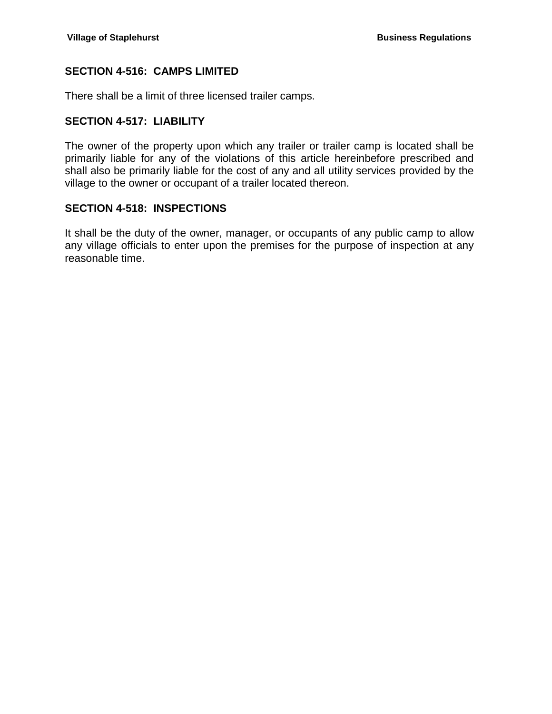# <span id="page-23-0"></span>**SECTION 4-516: CAMPS LIMITED**

There shall be a limit of three licensed trailer camps.

# <span id="page-23-1"></span>**SECTION 4-517: LIABILITY**

The owner of the property upon which any trailer or trailer camp is located shall be primarily liable for any of the violations of this article hereinbefore prescribed and shall also be primarily liable for the cost of any and all utility services provided by the village to the owner or occupant of a trailer located thereon.

#### <span id="page-23-2"></span>**SECTION 4-518: INSPECTIONS**

It shall be the duty of the owner, manager, or occupants of any public camp to allow any village officials to enter upon the premises for the purpose of inspection at any reasonable time.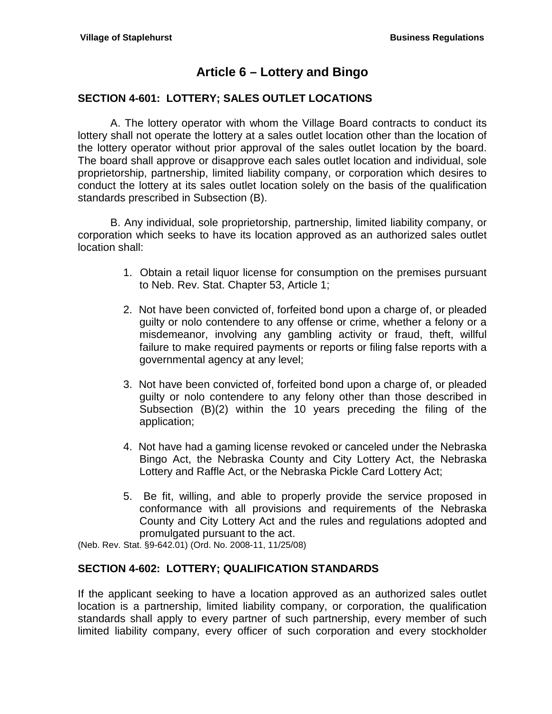# **Article 6 – Lottery and Bingo**

# <span id="page-24-1"></span><span id="page-24-0"></span>**SECTION 4-601: LOTTERY; SALES OUTLET LOCATIONS**

A. The lottery operator with whom the Village Board contracts to conduct its lottery shall not operate the lottery at a sales outlet location other than the location of the lottery operator without prior approval of the sales outlet location by the board. The board shall approve or disapprove each sales outlet location and individual, sole proprietorship, partnership, limited liability company, or corporation which desires to conduct the lottery at its sales outlet location solely on the basis of the qualification standards prescribed in Subsection (B).

B. Any individual, sole proprietorship, partnership, limited liability company, or corporation which seeks to have its location approved as an authorized sales outlet location shall:

- 1. Obtain a retail liquor license for consumption on the premises pursuant to Neb. Rev. Stat. Chapter 53, Article 1;
- 2. Not have been convicted of, forfeited bond upon a charge of, or pleaded guilty or nolo contendere to any offense or crime, whether a felony or a misdemeanor, involving any gambling activity or fraud, theft, willful failure to make required payments or reports or filing false reports with a governmental agency at any level;
- 3. Not have been convicted of, forfeited bond upon a charge of, or pleaded guilty or nolo contendere to any felony other than those described in Subsection (B)(2) within the 10 years preceding the filing of the application;
- 4. Not have had a gaming license revoked or canceled under the Nebraska Bingo Act, the Nebraska County and City Lottery Act, the Nebraska Lottery and Raffle Act, or the Nebraska Pickle Card Lottery Act;
- 5. Be fit, willing, and able to properly provide the service proposed in conformance with all provisions and requirements of the Nebraska County and City Lottery Act and the rules and regulations adopted and promulgated pursuant to the act.

(Neb. Rev. Stat. §9-642.01) (Ord. No. 2008-11, 11/25/08)

# <span id="page-24-2"></span>**SECTION 4-602: LOTTERY; QUALIFICATION STANDARDS**

If the applicant seeking to have a location approved as an authorized sales outlet location is a partnership, limited liability company, or corporation, the qualification standards shall apply to every partner of such partnership, every member of such limited liability company, every officer of such corporation and every stockholder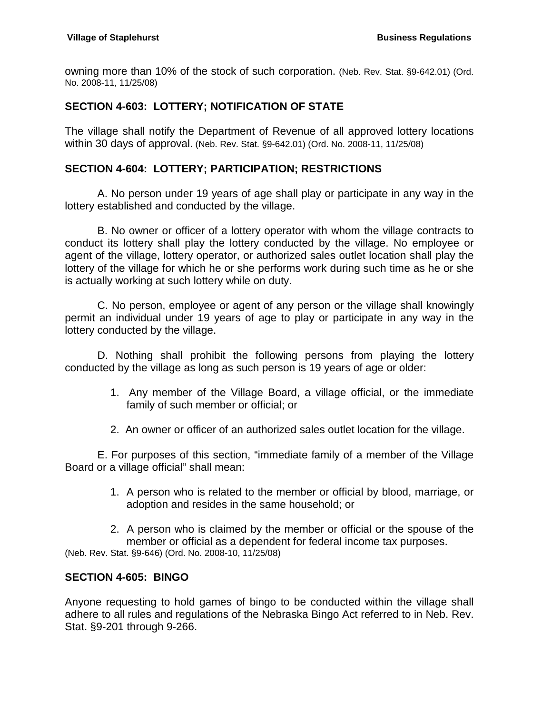owning more than 10% of the stock of such corporation. (Neb. Rev. Stat. §9-642.01) (Ord. No. 2008-11, 11/25/08)

# <span id="page-25-0"></span>**SECTION 4-603: LOTTERY; NOTIFICATION OF STATE**

The village shall notify the Department of Revenue of all approved lottery locations within 30 days of approval. (Neb. Rev. Stat. §9-642.01) (Ord. No. 2008-11, 11/25/08)

#### <span id="page-25-1"></span>**SECTION 4-604: LOTTERY; PARTICIPATION; RESTRICTIONS**

A. No person under 19 years of age shall play or participate in any way in the lottery established and conducted by the village.

B. No owner or officer of a lottery operator with whom the village contracts to conduct its lottery shall play the lottery conducted by the village. No employee or agent of the village, lottery operator, or authorized sales outlet location shall play the lottery of the village for which he or she performs work during such time as he or she is actually working at such lottery while on duty.

C. No person, employee or agent of any person or the village shall knowingly permit an individual under 19 years of age to play or participate in any way in the lottery conducted by the village.

D. Nothing shall prohibit the following persons from playing the lottery conducted by the village as long as such person is 19 years of age or older:

- 1. Any member of the Village Board, a village official, or the immediate family of such member or official; or
- 2. An owner or officer of an authorized sales outlet location for the village.

E. For purposes of this section, "immediate family of a member of the Village Board or a village official" shall mean:

- 1. A person who is related to the member or official by blood, marriage, or adoption and resides in the same household; or
- 2. A person who is claimed by the member or official or the spouse of the member or official as a dependent for federal income tax purposes. (Neb. Rev. Stat. §9-646) (Ord. No. 2008-10, 11/25/08)

# <span id="page-25-2"></span>**SECTION 4-605: BINGO**

Anyone requesting to hold games of bingo to be conducted within the village shall adhere to all rules and regulations of the Nebraska Bingo Act referred to in Neb. Rev. Stat. §9-201 through 9-266.